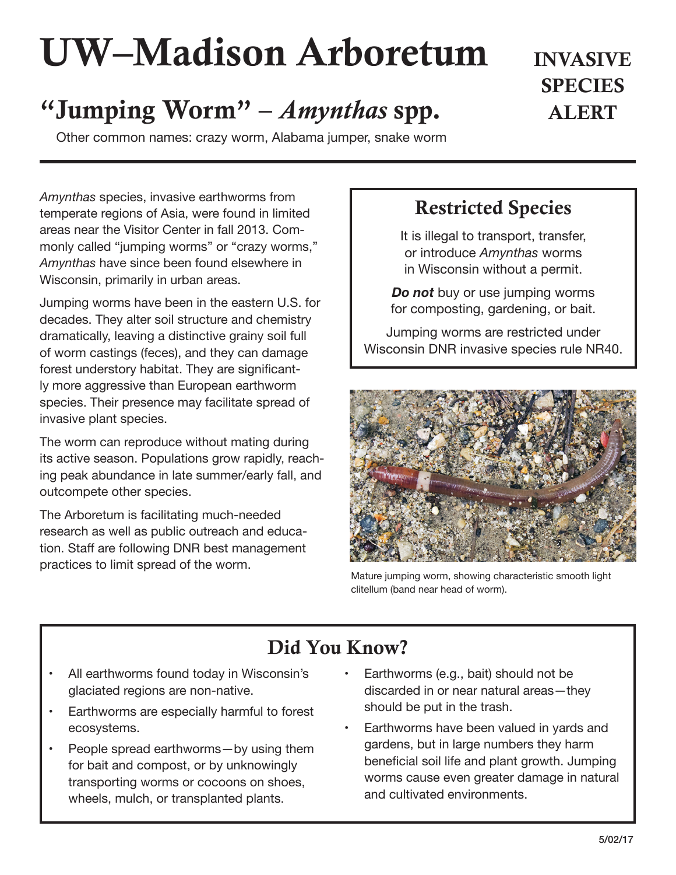# UW–Madison Arboretum

# "Jumping Worm" – *Amynthas* spp. ALERT

Other common names: crazy worm, Alabama jumper, snake worm

*Amynthas* species, invasive earthworms from temperate regions of Asia, were found in limited areas near the Visitor Center in fall 2013. Commonly called "jumping worms" or "crazy worms," *Amynthas* have since been found elsewhere in Wisconsin, primarily in urban areas.

Jumping worms have been in the eastern U.S. for decades. They alter soil structure and chemistry dramatically, leaving a distinctive grainy soil full of worm castings (feces), and they can damage forest understory habitat. They are significantly more aggressive than European earthworm species. Their presence may facilitate spread of invasive plant species.

The worm can reproduce without mating during its active season. Populations grow rapidly, reaching peak abundance in late summer/early fall, and outcompete other species.

The Arboretum is facilitating much-needed research as well as public outreach and education. Staff are following DNR best management practices to limit spread of the worm.

#### Restricted Species

INVASIVE

**SPECIES** 

It is illegal to transport, transfer, or introduce *Amynthas* worms in Wisconsin without a permit.

*Do not* buy or use jumping worms for composting, gardening, or bait.

Jumping worms are restricted under Wisconsin DNR invasive species rule NR40.



Mature jumping worm, showing characteristic smooth light clitellum (band near head of worm).

## Did You Know?

- All earthworms found today in Wisconsin's glaciated regions are non-native.
- Earthworms are especially harmful to forest ecosystems.
- People spread earthworms—by using them for bait and compost, or by unknowingly transporting worms or cocoons on shoes, wheels, mulch, or transplanted plants.
- Earthworms (e.g., bait) should not be discarded in or near natural areas—they should be put in the trash.
- Earthworms have been valued in yards and gardens, but in large numbers they harm beneficial soil life and plant growth. Jumping worms cause even greater damage in natural and cultivated environments.